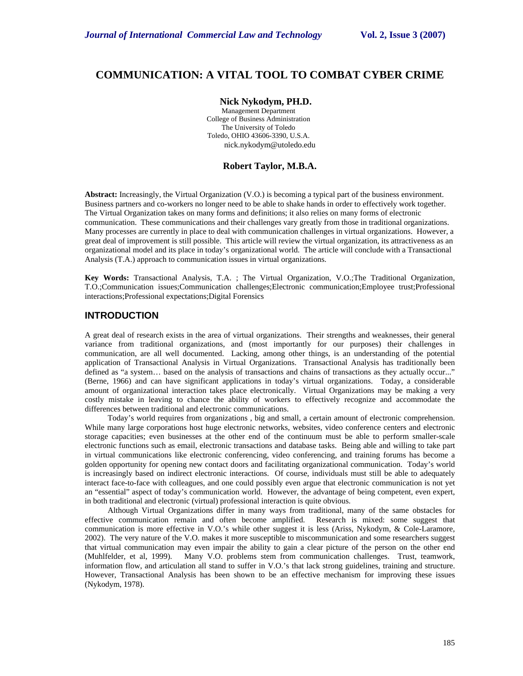# **COMMUNICATION: A VITAL TOOL TO COMBAT CYBER CRIME**

#### **Nick Nykodym, PH.D.**

Management Department College of Business Administration The University of Toledo Toledo, OHIO 43606-3390, U.S.A. nick.nykodym@utoledo.edu

### **Robert Taylor, M.B.A.**

**Abstract:** Increasingly, the Virtual Organization (V.O.) is becoming a typical part of the business environment. Business partners and co-workers no longer need to be able to shake hands in order to effectively work together. The Virtual Organization takes on many forms and definitions; it also relies on many forms of electronic communication. These communications and their challenges vary greatly from those in traditional organizations. Many processes are currently in place to deal with communication challenges in virtual organizations. However, a great deal of improvement is still possible. This article will review the virtual organization, its attractiveness as an organizational model and its place in today's organizational world. The article will conclude with a Transactional Analysis (T.A.) approach to communication issues in virtual organizations.

**Key Words:** Transactional Analysis, T.A. ; The Virtual Organization, V.O.;The Traditional Organization, T.O.;Communication issues;Communication challenges;Electronic communication;Employee trust;Professional interactions;Professional expectations;Digital Forensics

# **INTRODUCTION**

A great deal of research exists in the area of virtual organizations. Their strengths and weaknesses, their general variance from traditional organizations, and (most importantly for our purposes) their challenges in communication, are all well documented. Lacking, among other things, is an understanding of the potential application of Transactional Analysis in Virtual Organizations. Transactional Analysis has traditionally been defined as "a system... based on the analysis of transactions and chains of transactions as they actually occur..." (Berne, 1966) and can have significant applications in today's virtual organizations. Today, a considerable amount of organizational interaction takes place electronically. Virtual Organizations may be making a very costly mistake in leaving to chance the ability of workers to effectively recognize and accommodate the differences between traditional and electronic communications.

Today's world requires from organizations , big and small, a certain amount of electronic comprehension. While many large corporations host huge electronic networks, websites, video conference centers and electronic storage capacities; even businesses at the other end of the continuum must be able to perform smaller-scale electronic functions such as email, electronic transactions and database tasks. Being able and willing to take part in virtual communications like electronic conferencing, video conferencing, and training forums has become a golden opportunity for opening new contact doors and facilitating organizational communication. Today's world is increasingly based on indirect electronic interactions. Of course, individuals must still be able to adequately interact face-to-face with colleagues, and one could possibly even argue that electronic communication is not yet an "essential" aspect of today's communication world. However, the advantage of being competent, even expert, in both traditional and electronic (virtual) professional interaction is quite obvious.

Although Virtual Organizations differ in many ways from traditional, many of the same obstacles for effective communication remain and often become amplified. Research is mixed: some suggest that communication is more effective in V.O.'s while other suggest it is less (Ariss, Nykodym, & Cole-Laramore, 2002). The very nature of the V.O. makes it more susceptible to miscommunication and some researchers suggest that virtual communication may even impair the ability to gain a clear picture of the person on the other end (Muhlfelder, et al, 1999). Many V.O. problems stem from communication challenges. Trust, teamwork, information flow, and articulation all stand to suffer in V.O.'s that lack strong guidelines, training and structure. However, Transactional Analysis has been shown to be an effective mechanism for improving these issues (Nykodym, 1978).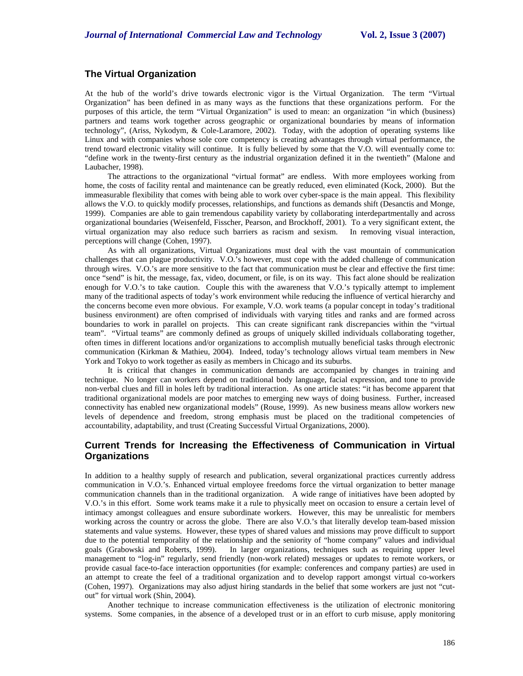## **The Virtual Organization**

At the hub of the world's drive towards electronic vigor is the Virtual Organization. The term "Virtual Organization" has been defined in as many ways as the functions that these organizations perform. For the purposes of this article, the term "Virtual Organization" is used to mean: an organization "in which (business) partners and teams work together across geographic or organizational boundaries by means of information technology", (Ariss, Nykodym, & Cole-Laramore, 2002). Today, with the adoption of operating systems like Linux and with companies whose sole core competency is creating advantages through virtual performance, the trend toward electronic vitality will continue. It is fully believed by some that the V.O. will eventually come to: "define work in the twenty-first century as the industrial organization defined it in the twentieth" (Malone and Laubacher, 1998).

The attractions to the organizational "virtual format" are endless. With more employees working from home, the costs of facility rental and maintenance can be greatly reduced, even eliminated (Kock, 2000). But the immeasurable flexibility that comes with being able to work over cyber-space is the main appeal. This flexibility allows the V.O. to quickly modify processes, relationships, and functions as demands shift (Desanctis and Monge, 1999). Companies are able to gain tremendous capability variety by collaborating interdepartmentally and across organizational boundaries (Weisenfeld, Fisscher, Pearson, and Brockhoff, 2001). To a very significant extent, the virtual organization may also reduce such barriers as racism and sexism. In removing visual interaction, perceptions will change (Cohen, 1997).

As with all organizations, Virtual Organizations must deal with the vast mountain of communication challenges that can plague productivity. V.O.'s however, must cope with the added challenge of communication through wires. V.O.'s are more sensitive to the fact that communication must be clear and effective the first time: once "send" is hit, the message, fax, video, document, or file, is on its way. This fact alone should be realization enough for V.O.'s to take caution. Couple this with the awareness that V.O.'s typically attempt to implement many of the traditional aspects of today's work environment while reducing the influence of vertical hierarchy and the concerns become even more obvious. For example, V.O. work teams (a popular concept in today's traditional business environment) are often comprised of individuals with varying titles and ranks and are formed across boundaries to work in parallel on projects. This can create significant rank discrepancies within the "virtual team". "Virtual teams" are commonly defined as groups of uniquely skilled individuals collaborating together, often times in different locations and/or organizations to accomplish mutually beneficial tasks through electronic communication (Kirkman & Mathieu, 2004). Indeed, today's technology allows virtual team members in New York and Tokyo to work together as easily as members in Chicago and its suburbs.

It is critical that changes in communication demands are accompanied by changes in training and technique. No longer can workers depend on traditional body language, facial expression, and tone to provide non-verbal clues and fill in holes left by traditional interaction. As one article states: "it has become apparent that traditional organizational models are poor matches to emerging new ways of doing business. Further, increased connectivity has enabled new organizational models" (Rouse, 1999). As new business means allow workers new levels of dependence and freedom, strong emphasis must be placed on the traditional competencies of accountability, adaptability, and trust (Creating Successful Virtual Organizations, 2000).

# **Current Trends for Increasing the Effectiveness of Communication in Virtual Organizations**

In addition to a healthy supply of research and publication, several organizational practices currently address communication in V.O.'s. Enhanced virtual employee freedoms force the virtual organization to better manage communication channels than in the traditional organization. A wide range of initiatives have been adopted by V.O.'s in this effort. Some work teams make it a rule to physically meet on occasion to ensure a certain level of intimacy amongst colleagues and ensure subordinate workers. However, this may be unrealistic for members working across the country or across the globe. There are also V.O.'s that literally develop team-based mission statements and value systems. However, these types of shared values and missions may prove difficult to support due to the potential temporality of the relationship and the seniority of "home company" values and individual goals (Grabowski and Roberts, 1999). In larger organizations, techniques such as requiring upper level management to "log-in" regularly, send friendly (non-work related) messages or updates to remote workers, or provide casual face-to-face interaction opportunities (for example: conferences and company parties) are used in an attempt to create the feel of a traditional organization and to develop rapport amongst virtual co-workers (Cohen, 1997). Organizations may also adjust hiring standards in the belief that some workers are just not "cutout" for virtual work (Shin, 2004).

Another technique to increase communication effectiveness is the utilization of electronic monitoring systems. Some companies, in the absence of a developed trust or in an effort to curb misuse, apply monitoring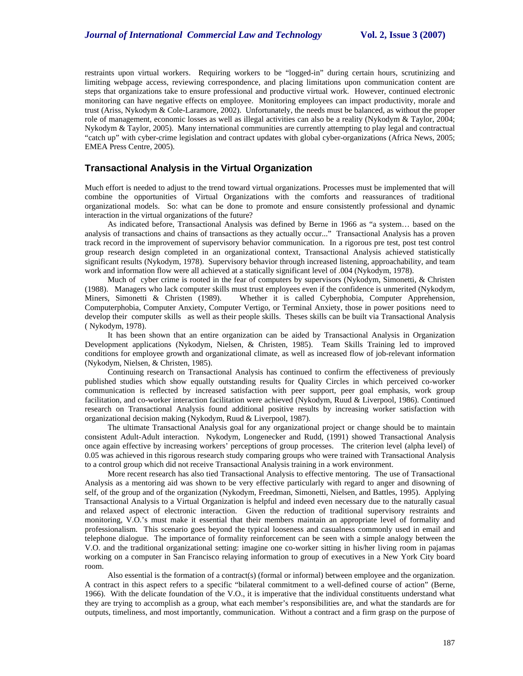restraints upon virtual workers. Requiring workers to be "logged-in" during certain hours, scrutinizing and limiting webpage access, reviewing correspondence, and placing limitations upon communication content are steps that organizations take to ensure professional and productive virtual work. However, continued electronic monitoring can have negative effects on employee. Monitoring employees can impact productivity, morale and trust (Ariss, Nykodym & Cole-Laramore, 2002). Unfortunately, the needs must be balanced, as without the proper role of management, economic losses as well as illegal activities can also be a reality (Nykodym & Taylor, 2004; Nykodym & Taylor, 2005). Many international communities are currently attempting to play legal and contractual "catch up" with cyber-crime legislation and contract updates with global cyber-organizations (Africa News, 2005; EMEA Press Centre, 2005).

# **Transactional Analysis in the Virtual Organization**

Much effort is needed to adjust to the trend toward virtual organizations. Processes must be implemented that will combine the opportunities of Virtual Organizations with the comforts and reassurances of traditional organizational models. So: what can be done to promote and ensure consistently professional and dynamic interaction in the virtual organizations of the future?

As indicated before, Transactional Analysis was defined by Berne in 1966 as "a system… based on the analysis of transactions and chains of transactions as they actually occur..." Transactional Analysis has a proven track record in the improvement of supervisory behavior communication. In a rigorous pre test, post test control group research design completed in an organizational context, Transactional Analysis achieved statistically significant results (Nykodym, 1978). Supervisory behavior through increased listening, approachability, and team work and information flow were all achieved at a statically significant level of .004 (Nykodym, 1978).

Much of cyber crime is rooted in the fear of computers by supervisors (Nykodym, Simonetti, & Christen (1988). Managers who lack computer skills must trust employees even if the confidence is unmerited (Nykodym, Miners, Simonetti & Christen (1989). Whether it is called Cyberphobia, Computer Apprehension, Computerphobia, Computer Anxiety, Computer Vertigo, or Terminal Anxiety, those in power positions need to develop their computer skills as well as their people skills. Theses skills can be built via Transactional Analysis ( Nykodym, 1978).

It has been shown that an entire organization can be aided by Transactional Analysis in Organization Development applications (Nykodym, Nielsen, & Christen, 1985). Team Skills Training led to improved conditions for employee growth and organizational climate, as well as increased flow of job-relevant information (Nykodym, Nielsen, & Christen, 1985).

Continuing research on Transactional Analysis has continued to confirm the effectiveness of previously published studies which show equally outstanding results for Quality Circles in which perceived co-worker communication is reflected by increased satisfaction with peer support, peer goal emphasis, work group facilitation, and co-worker interaction facilitation were achieved (Nykodym, Ruud & Liverpool, 1986). Continued research on Transactional Analysis found additional positive results by increasing worker satisfaction with organizational decision making (Nykodym, Ruud & Liverpool, 1987).

The ultimate Transactional Analysis goal for any organizational project or change should be to maintain consistent Adult-Adult interaction. Nykodym, Longenecker and Rudd, (1991) showed Transactional Analysis once again effective by increasing workers' perceptions of group processes. The criterion level (alpha level) of 0.05 was achieved in this rigorous research study comparing groups who were trained with Transactional Analysis to a control group which did not receive Transactional Analysis training in a work environment.

More recent research has also tied Transactional Analysis to effective mentoring. The use of Transactional Analysis as a mentoring aid was shown to be very effective particularly with regard to anger and disowning of self, of the group and of the organization (Nykodym, Freedman, Simonetti, Nielsen, and Battles, 1995). Applying Transactional Analysis to a Virtual Organization is helpful and indeed even necessary due to the naturally casual and relaxed aspect of electronic interaction. Given the reduction of traditional supervisory restraints and monitoring, V.O.'s must make it essential that their members maintain an appropriate level of formality and professionalism. This scenario goes beyond the typical looseness and casualness commonly used in email and telephone dialogue. The importance of formality reinforcement can be seen with a simple analogy between the V.O. and the traditional organizational setting: imagine one co-worker sitting in his/her living room in pajamas working on a computer in San Francisco relaying information to group of executives in a New York City board room.

Also essential is the formation of a contract(s) (formal or informal) between employee and the organization. A contract in this aspect refers to a specific "bilateral commitment to a well-defined course of action" (Berne, 1966). With the delicate foundation of the V.O., it is imperative that the individual constituents understand what they are trying to accomplish as a group, what each member's responsibilities are, and what the standards are for outputs, timeliness, and most importantly, communication. Without a contract and a firm grasp on the purpose of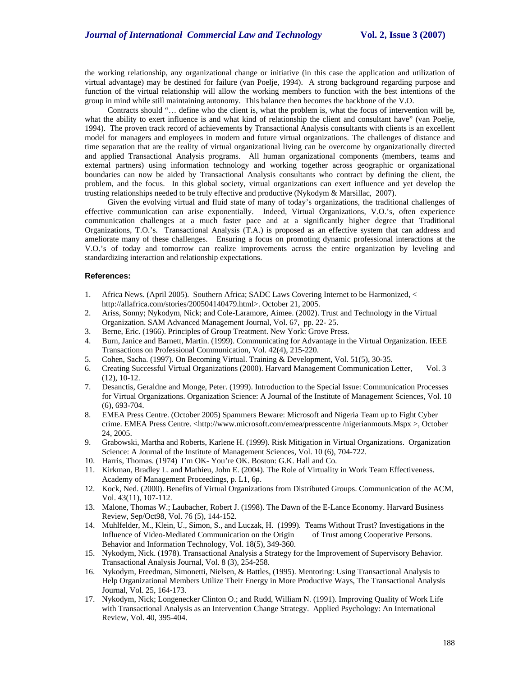the working relationship, any organizational change or initiative (in this case the application and utilization of virtual advantage) may be destined for failure (van Poelje, 1994). A strong background regarding purpose and function of the virtual relationship will allow the working members to function with the best intentions of the group in mind while still maintaining autonomy. This balance then becomes the backbone of the V.O.

Contracts should "… define who the client is, what the problem is, what the focus of intervention will be, what the ability to exert influence is and what kind of relationship the client and consultant have" (van Poelje, 1994). The proven track record of achievements by Transactional Analysis consultants with clients is an excellent model for managers and employees in modern and future virtual organizations. The challenges of distance and time separation that are the reality of virtual organizational living can be overcome by organizationally directed and applied Transactional Analysis programs. All human organizational components (members, teams and external partners) using information technology and working together across geographic or organizational boundaries can now be aided by Transactional Analysis consultants who contract by defining the client, the problem, and the focus. In this global society, virtual organizations can exert influence and yet develop the trusting relationships needed to be truly effective and productive (Nykodym & Marsillac, 2007).

Given the evolving virtual and fluid state of many of today's organizations, the traditional challenges of effective communication can arise exponentially. Indeed, Virtual Organizations, V.O.'s, often experience communication challenges at a much faster pace and at a significantly higher degree that Traditional Organizations, T.O.'s. Transactional Analysis (T.A.) is proposed as an effective system that can address and ameliorate many of these challenges. Ensuring a focus on promoting dynamic professional interactions at the V.O.'s of today and tomorrow can realize improvements across the entire organization by leveling and standardizing interaction and relationship expectations.

#### **References:**

- 1. Africa News. (April 2005). Southern Africa; SADC Laws Covering Internet to be Harmonized, < http://allafrica.com/stories/200504140479.html>. October 21, 2005.
- 2. Ariss, Sonny; Nykodym, Nick; and Cole-Laramore, Aimee. (2002). Trust and Technology in the Virtual Organization. SAM Advanced Management Journal, Vol. 67, pp. 22- 25.
- 3. Berne, Eric. (1966). Principles of Group Treatment. New York: Grove Press.
- 4. Burn, Janice and Barnett, Martin. (1999). Communicating for Advantage in the Virtual Organization. IEEE Transactions on Professional Communication, Vol. 42(4), 215-220.
- 5. Cohen, Sacha. (1997). On Becoming Virtual. Training & Development, Vol. 51(5), 30-35.
- 6. Creating Successful Virtual Organizations (2000). Harvard Management Communication Letter, Vol. 3 (12), 10-12.
- 7. Desanctis, Geraldne and Monge, Peter. (1999). Introduction to the Special Issue: Communication Processes for Virtual Organizations. Organization Science: A Journal of the Institute of Management Sciences, Vol. 10 (6), 693-704.
- 8. EMEA Press Centre. (October 2005) Spammers Beware: Microsoft and Nigeria Team up to Fight Cyber crime. EMEA Press Centre. <http://www.microsoft.com/emea/presscentre /nigerianmouts.Mspx >, October 24, 2005.
- 9. Grabowski, Martha and Roberts, Karlene H. (1999). Risk Mitigation in Virtual Organizations. Organization Science: A Journal of the Institute of Management Sciences, Vol. 10 (6), 704-722.
- 10. Harris, Thomas. (1974) I'm OK- You're OK. Boston: G.K. Hall and Co.
- 11. Kirkman, Bradley L. and Mathieu, John E. (2004). The Role of Virtuality in Work Team Effectiveness. Academy of Management Proceedings, p. L1, 6p.
- 12. Kock, Ned. (2000). Benefits of Virtual Organizations from Distributed Groups. Communication of the ACM, Vol. 43(11), 107-112.
- 13. Malone, Thomas W.; Laubacher, Robert J. (1998). The Dawn of the E-Lance Economy. Harvard Business Review, Sep/Oct98, Vol. 76 (5), 144-152.
- 14. Muhlfelder, M., Klein, U., Simon, S., and Luczak, H. (1999). Teams Without Trust? Investigations in the Influence of Video-Mediated Communication on the Origin of Trust among Cooperative Persons. Behavior and Information Technology, Vol. 18(5), 349-360.
- 15. Nykodym, Nick. (1978). Transactional Analysis a Strategy for the Improvement of Supervisory Behavior. Transactional Analysis Journal, Vol. 8 (3), 254-258.
- 16. Nykodym, Freedman, Simonetti, Nielsen, & Battles, (1995). Mentoring: Using Transactional Analysis to Help Organizational Members Utilize Their Energy in More Productive Ways, The Transactional Analysis Journal, Vol. 25, 164-173.
- 17. Nykodym, Nick; Longenecker Clinton O.; and Rudd, William N. (1991). Improving Quality of Work Life with Transactional Analysis as an Intervention Change Strategy. Applied Psychology: An International Review, Vol. 40, 395-404.